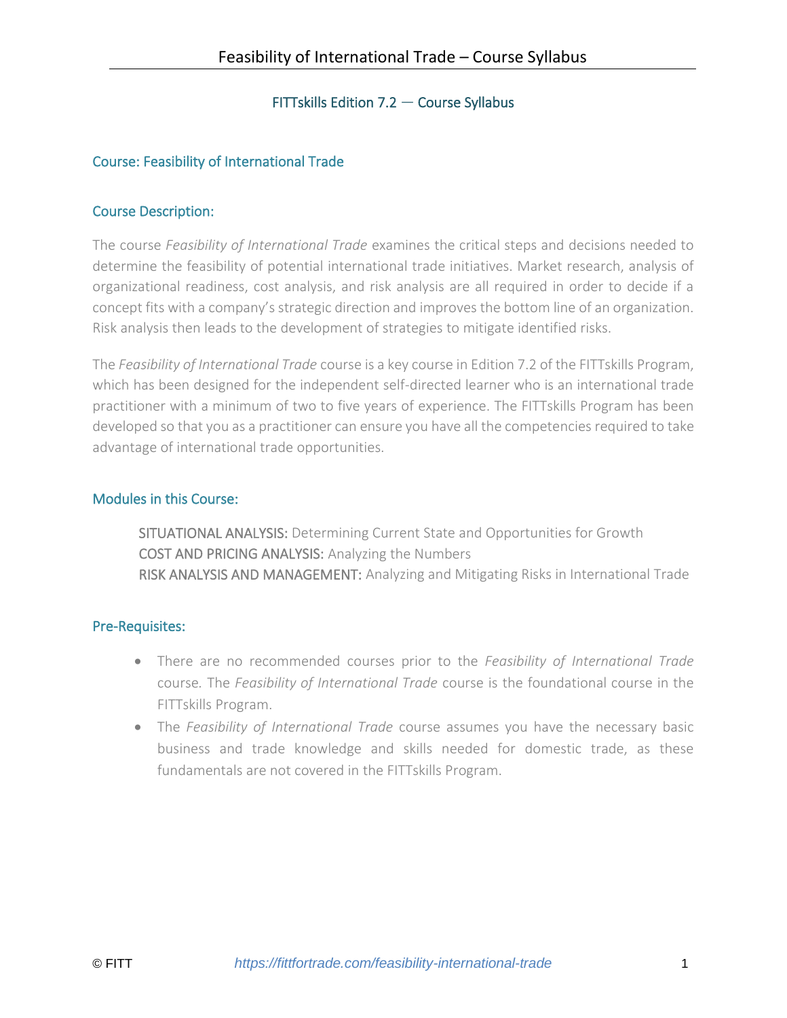# FITTskills Edition 7.2 — Course Syllabus

# Course: Feasibility of International Trade

#### Course Description:

The course *Feasibility of International Trade* examines the critical steps and decisions needed to determine the feasibility of potential international trade initiatives. Market research, analysis of organizational readiness, cost analysis, and risk analysis are all required in order to decide if a concept fits with a company's strategic direction and improves the bottom line of an organization. Risk analysis then leads to the development of strategies to mitigate identified risks.

The *Feasibility of International Trade* course is a key course in Edition 7.2 of the FITTskills Program, which has been designed for the independent self-directed learner who is an international trade practitioner with a minimum of two to five years of experience. The FITTskills Program has been developed so that you as a practitioner can ensure you have all the competencies required to take advantage of international trade opportunities.

#### Modules in this Course:

SITUATIONAL ANALYSIS: Determining Current State and Opportunities for Growth COST AND PRICING ANALYSIS: Analyzing the Numbers RISK ANALYSIS AND MANAGEMENT: Analyzing and Mitigating Risks in International Trade

#### Pre-Requisites:

- There are no recommended courses prior to the *Feasibility of International Trade* course*.* The *Feasibility of International Trade* course is the foundational course in the FITTskills Program.
- The *Feasibility of International Trade* course assumes you have the necessary basic business and trade knowledge and skills needed for domestic trade, as these fundamentals are not covered in the FITTskills Program.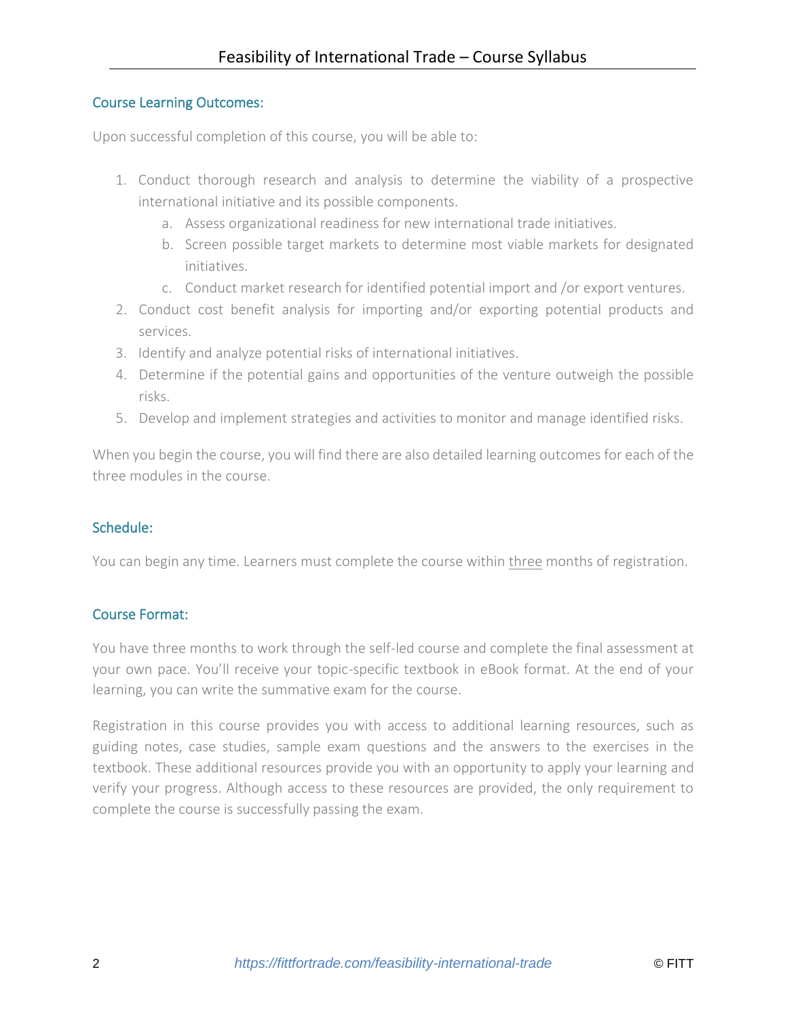# Course Learning Outcomes:

Upon successful completion of this course, you will be able to:

- 1. Conduct thorough research and analysis to determine the viability of a prospective international initiative and its possible components.
	- a. Assess organizational readiness for new international trade initiatives.
	- b. Screen possible target markets to determine most viable markets for designated initiatives.
	- c. Conduct market research for identified potential import and /or export ventures.
- 2. Conduct cost benefit analysis for importing and/or exporting potential products and services.
- 3. Identify and analyze potential risks of international initiatives.
- 4. Determine if the potential gains and opportunities of the venture outweigh the possible risks.
- 5. Develop and implement strategies and activities to monitor and manage identified risks.

When you begin the course, you will find there are also detailed learning outcomes for each of the three modules in the course.

# Schedule:

You can begin any time. Learners must complete the course within three months of registration.

# Course Format:

You have three months to work through the self-led course and complete the final assessment at your own pace. You'll receive your topic-specific textbook in eBook format. At the end of your learning, you can write the summative exam for the course.

Registration in this course provides you with access to additional learning resources, such as guiding notes, case studies, sample exam questions and the answers to the exercises in the textbook. These additional resources provide you with an opportunity to apply your learning and verify your progress. Although access to these resources are provided, the only requirement to complete the course is successfully passing the exam.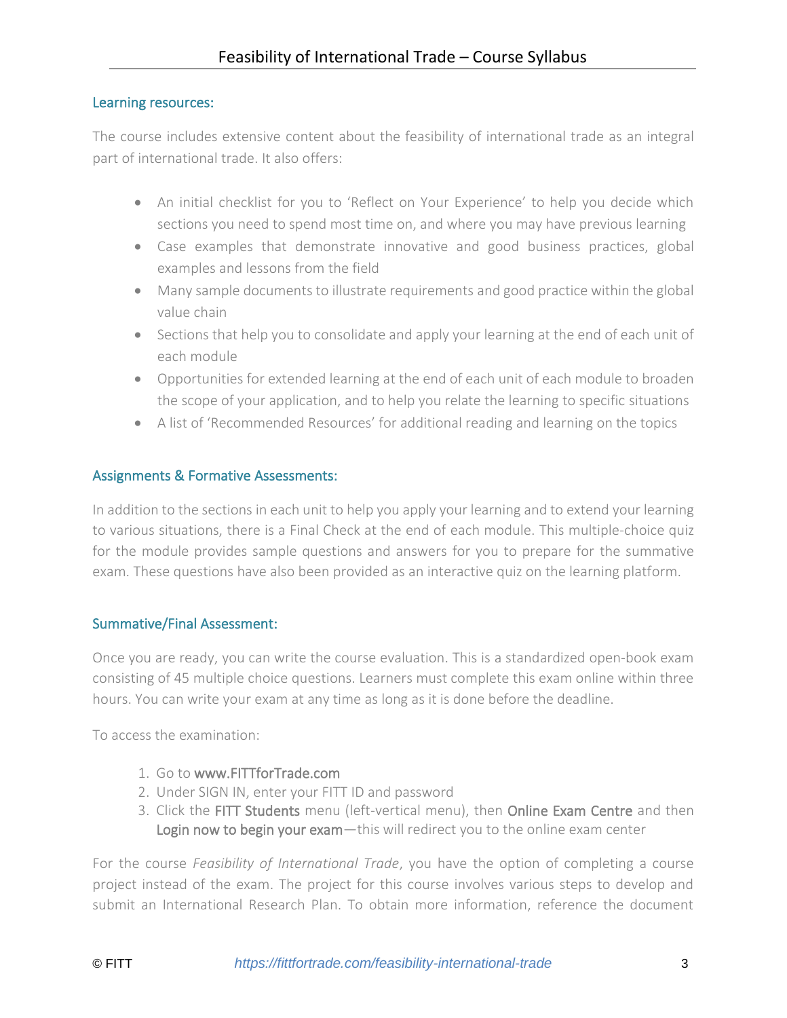#### Learning resources:

The course includes extensive content about the feasibility of international trade as an integral part of international trade. It also offers:

- An initial checklist for you to 'Reflect on Your Experience' to help you decide which sections you need to spend most time on, and where you may have previous learning
- Case examples that demonstrate innovative and good business practices, global examples and lessons from the field
- Many sample documents to illustrate requirements and good practice within the global value chain
- Sections that help you to consolidate and apply your learning at the end of each unit of each module
- Opportunities for extended learning at the end of each unit of each module to broaden the scope of your application, and to help you relate the learning to specific situations
- A list of 'Recommended Resources' for additional reading and learning on the topics

# Assignments & Formative Assessments:

In addition to the sections in each unit to help you apply your learning and to extend your learning to various situations, there is a Final Check at the end of each module. This multiple-choice quiz for the module provides sample questions and answers for you to prepare for the summative exam. These questions have also been provided as an interactive quiz on the learning platform.

#### Summative/Final Assessment:

Once you are ready, you can write the course evaluation. This is a standardized open-book exam consisting of 45 multiple choice questions. Learners must complete this exam online within three hours. You can write your exam at any time as long as it is done before the deadline.

To access the examination:

- 1. Go to [www.FITTforTrade.com](http://www.fittfortrade.com/)
- 2. Under SIGN IN, enter your FITT ID and password
- 3. Click the FITT Students menu (left-vertical menu), then Online Exam Centre and then Login now to begin your exam—this will redirect you to the online exam center

For the course *Feasibility of International Trade*, you have the option of completing a course project instead of the exam. The project for this course involves various steps to develop and submit an International Research Plan. To obtain more information, reference the document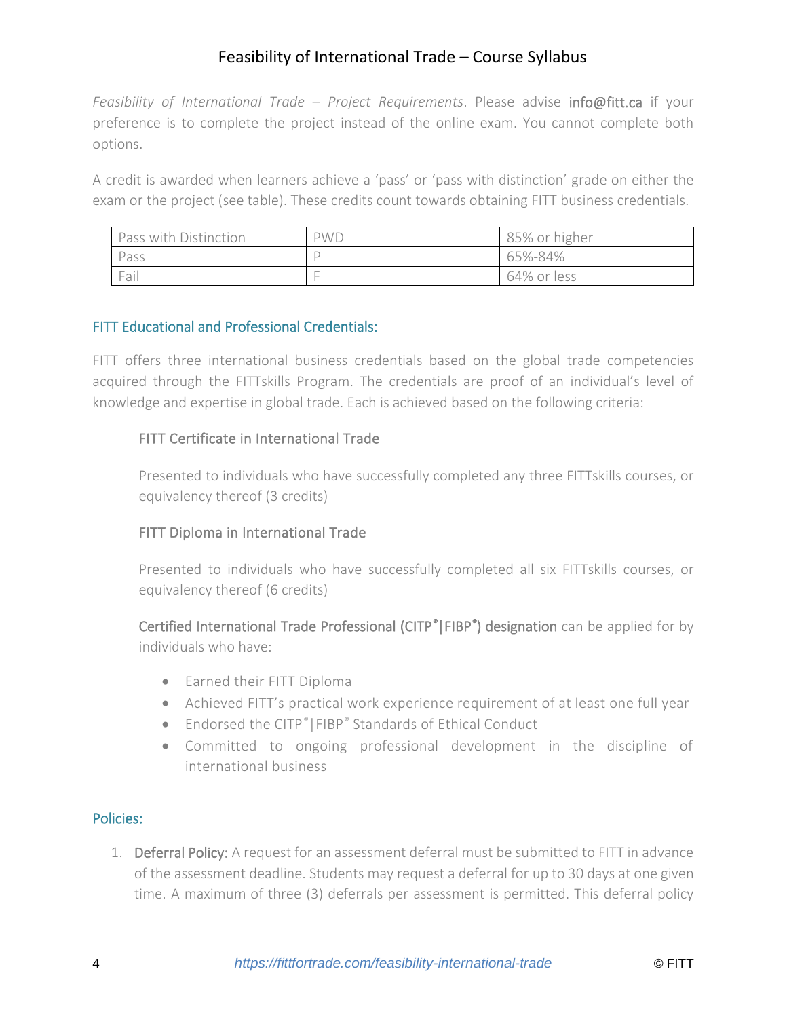*Feasibility of International Trade – Project Requirements*. Please advise [info@fitt.ca](mailto:info@fitt.ca) if your preference is to complete the project instead of the online exam. You cannot complete both options.

A credit is awarded when learners achieve a 'pass' or 'pass with distinction' grade on either the exam or the project (see table). These credits count towards obtaining FITT business credentials.

| Pass with Distinction | <b>PWD</b> | 85% or higher |
|-----------------------|------------|---------------|
| Pass                  |            | 65%-84%       |
| Fail                  |            | 64% or less   |

# FITT Educational and Professional Credentials:

FITT offers three international business credentials based on the global trade competencies acquired through the FITTskills Program. The credentials are proof of an individual's level of knowledge and expertise in global trade. Each is achieved based on the following criteria:

# FITT Certificate in International Trade

Presented to individuals who have successfully completed any three FITTskills courses, or equivalency thereof (3 credits)

# FITT Diploma in International Trade

Presented to individuals who have successfully completed all six FITTskills courses, or equivalency thereof (6 credits)

Certified International Trade Professional (CITP*®*|FIBP*®* ) designation can be applied for by individuals who have:

- Earned their FITT Diploma
- Achieved FITT's practical work experience requirement of at least one full year
- Endorsed the CITP*®*|FIBP*®* Standards of Ethical Conduct
- Committed to ongoing professional development in the discipline of international business

# Policies:

1. Deferral Policy: A request for an assessment deferral must be submitted to FITT in advance of the assessment deadline. Students may request a deferral for up to 30 days at one given time. A maximum of three (3) deferrals per assessment is permitted. This deferral policy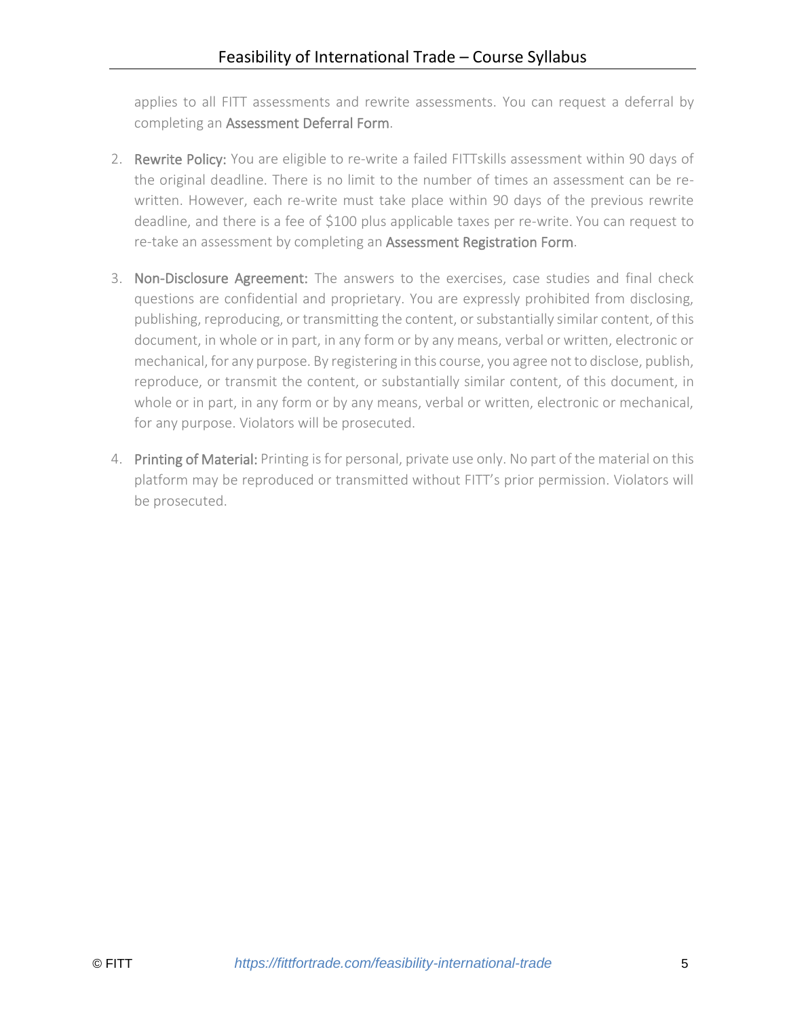applies to all FITT assessments and rewrite assessments. You can request a deferral by completing an [Assessment Deferral Form.](https://fittfortrade.com/assessment-deferral-request)

- 2. Rewrite Policy: You are eligible to re-write a failed FITTskills assessment within 90 days of the original deadline. There is no limit to the number of times an assessment can be rewritten. However, each re-write must take place within 90 days of the previous rewrite deadline, and there is a fee of \$100 plus applicable taxes per re-write. You can request to re-take an assessment by completing an [Assessment Registration Form.](http://fittfortrade.com/assessment-rewrite-registration)
- 3. Non-Disclosure Agreement: The answers to the exercises, case studies and final check questions are confidential and proprietary. You are expressly prohibited from disclosing, publishing, reproducing, or transmitting the content, or substantially similar content, of this document, in whole or in part, in any form or by any means, verbal or written, electronic or mechanical, for any purpose. By registering in this course, you agree not to disclose, publish, reproduce, or transmit the content, or substantially similar content, of this document, in whole or in part, in any form or by any means, verbal or written, electronic or mechanical, for any purpose. Violators will be prosecuted.
- 4. Printing of Material: Printing is for personal, private use only. No part of the material on this platform may be reproduced or transmitted without FITT's prior permission. Violators will be prosecuted.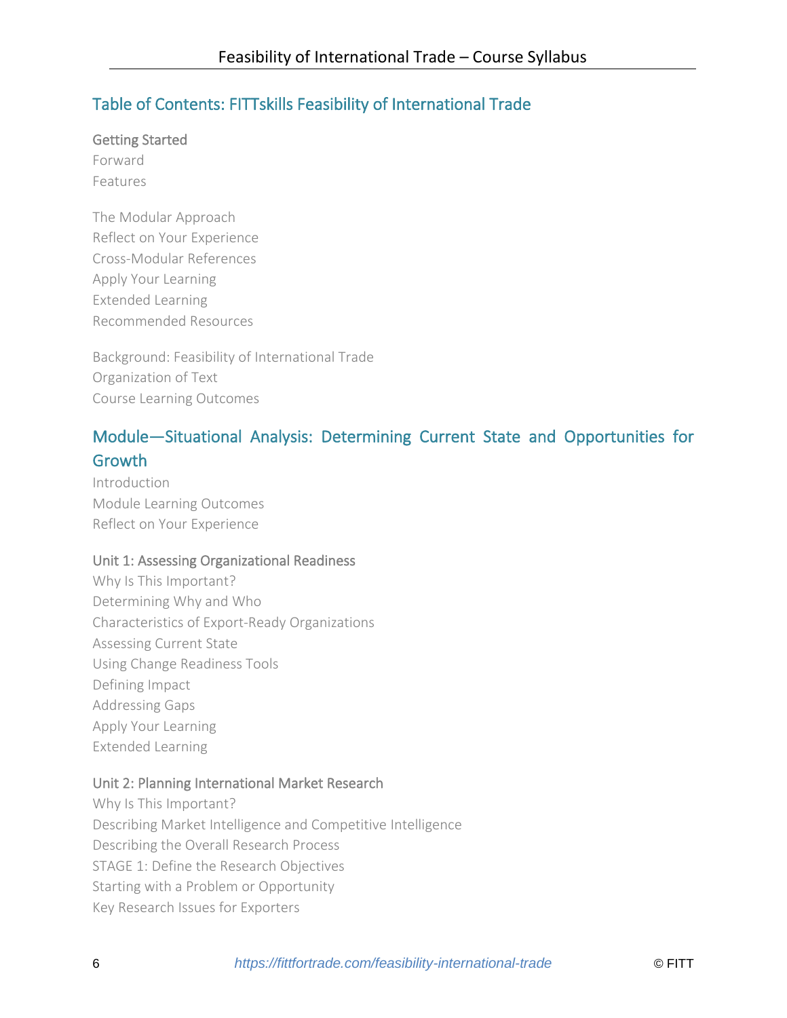# Table of Contents: FITTskills Feasibility of International Trade

Getting Started

Forward Features

The Modular Approach Reflect on Your Experience Cross-Modular References Apply Your Learning Extended Learning Recommended Resources

Background: Feasibility of International Trade Organization of Text Course Learning Outcomes

# Module—Situational Analysis: Determining Current State and Opportunities for **Growth**

Introduction Module Learning Outcomes Reflect on Your Experience

# Unit 1: Assessing Organizational Readiness

Why Is This Important? Determining Why and Who Characteristics of Export-Ready Organizations Assessing Current State Using Change Readiness Tools Defining Impact Addressing Gaps Apply Your Learning Extended Learning

# Unit 2: Planning International Market Research

Why Is This Important? Describing Market Intelligence and Competitive Intelligence Describing the Overall Research Process STAGE 1: Define the Research Objectives Starting with a Problem or Opportunity Key Research Issues for Exporters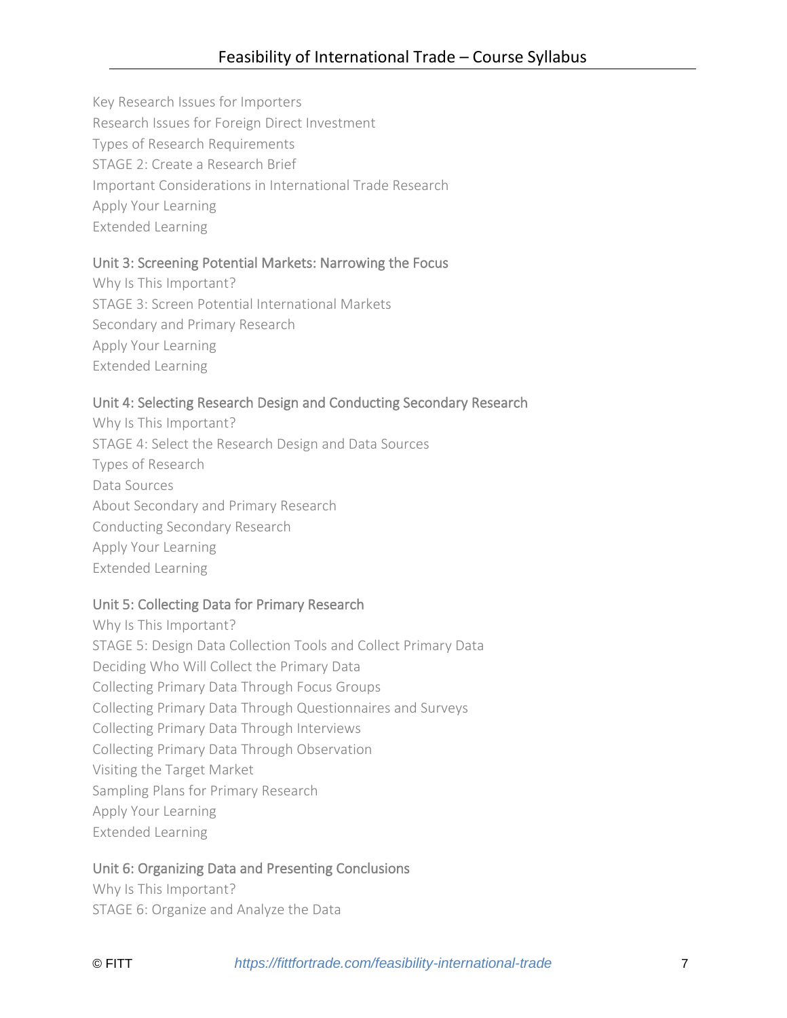Key Research Issues for Importers Research Issues for Foreign Direct Investment Types of Research Requirements STAGE 2: Create a Research Brief Important Considerations in International Trade Research Apply Your Learning Extended Learning

# Unit 3: Screening Potential Markets: Narrowing the Focus

Why Is This Important? STAGE 3: Screen Potential International Markets Secondary and Primary Research Apply Your Learning Extended Learning

# Unit 4: Selecting Research Design and Conducting Secondary Research

Why Is This Important? STAGE 4: Select the Research Design and Data Sources Types of Research Data Sources About Secondary and Primary Research Conducting Secondary Research Apply Your Learning Extended Learning

# Unit 5: Collecting Data for Primary Research

Why Is This Important? STAGE 5: Design Data Collection Tools and Collect Primary Data Deciding Who Will Collect the Primary Data Collecting Primary Data Through Focus Groups Collecting Primary Data Through Questionnaires and Surveys Collecting Primary Data Through Interviews Collecting Primary Data Through Observation Visiting the Target Market Sampling Plans for Primary Research Apply Your Learning Extended Learning

# Unit 6: Organizing Data and Presenting Conclusions

Why Is This Important? STAGE 6: Organize and Analyze the Data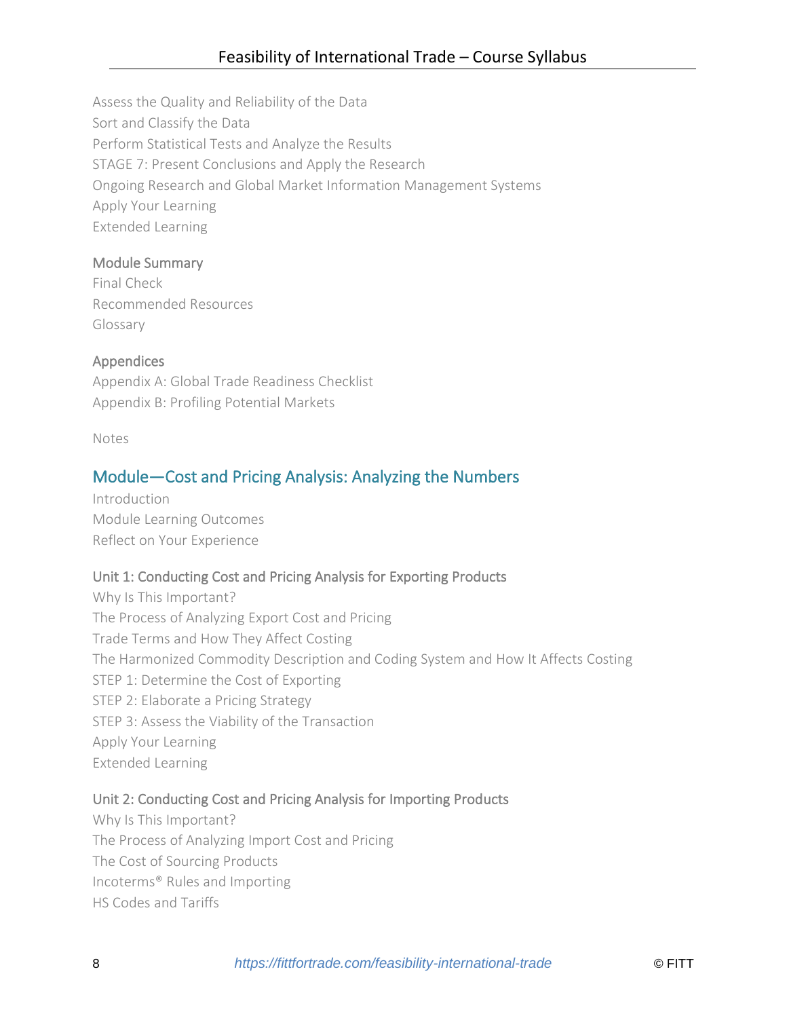Assess the Quality and Reliability of the Data Sort and Classify the Data Perform Statistical Tests and Analyze the Results STAGE 7: Present Conclusions and Apply the Research Ongoing Research and Global Market Information Management Systems Apply Your Learning Extended Learning

# Module Summary

Final Check Recommended Resources Glossary

# Appendices

Appendix A: Global Trade Readiness Checklist Appendix B: Profiling Potential Markets

Notes

# Module—Cost and Pricing Analysis: Analyzing the Numbers

Introduction Module Learning Outcomes Reflect on Your Experience

# Unit 1: Conducting Cost and Pricing Analysis for Exporting Products

Why Is This Important? The Process of Analyzing Export Cost and Pricing Trade Terms and How They Affect Costing The Harmonized Commodity Description and Coding System and How It Affects Costing STEP 1: Determine the Cost of Exporting STEP 2: Elaborate a Pricing Strategy STEP 3: Assess the Viability of the Transaction Apply Your Learning Extended Learning

# Unit 2: Conducting Cost and Pricing Analysis for Importing Products

Why Is This Important? The Process of Analyzing Import Cost and Pricing The Cost of Sourcing Products Incoterms® Rules and Importing HS Codes and Tariffs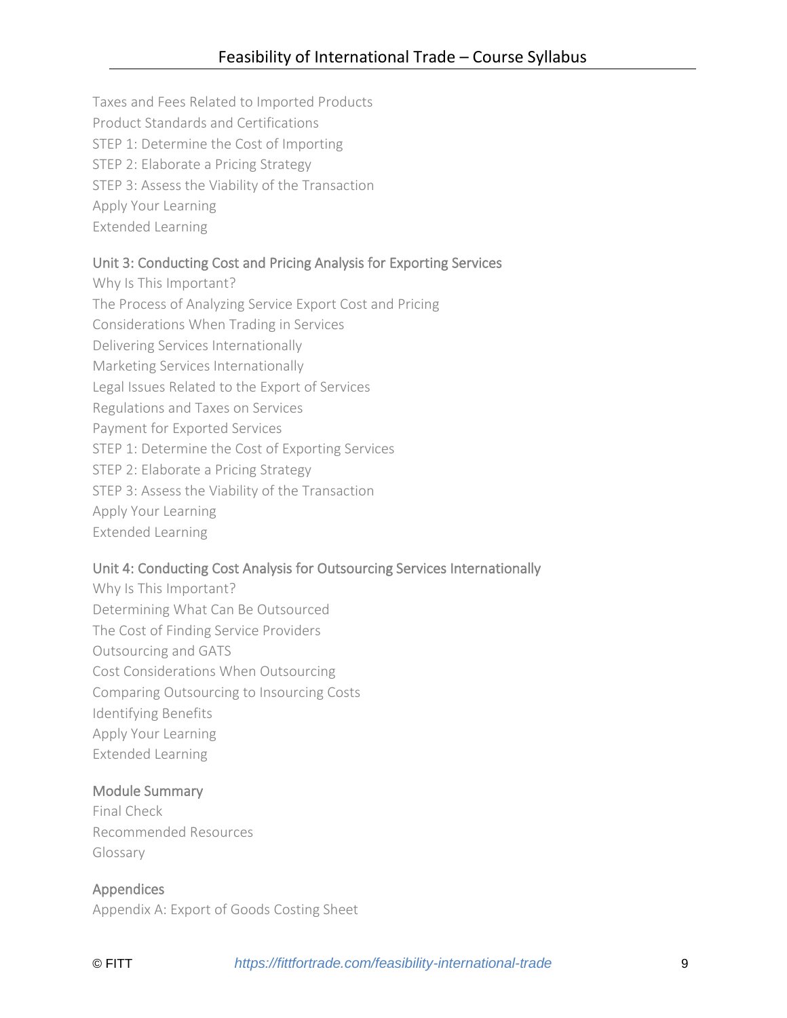Taxes and Fees Related to Imported Products Product Standards and Certifications STEP 1: Determine the Cost of Importing STEP 2: Elaborate a Pricing Strategy STEP 3: Assess the Viability of the Transaction Apply Your Learning Extended Learning

# Unit 3: Conducting Cost and Pricing Analysis for Exporting Services

Why Is This Important? The Process of Analyzing Service Export Cost and Pricing Considerations When Trading in Services Delivering Services Internationally Marketing Services Internationally Legal Issues Related to the Export of Services Regulations and Taxes on Services Payment for Exported Services STEP 1: Determine the Cost of Exporting Services STEP 2: Elaborate a Pricing Strategy STEP 3: Assess the Viability of the Transaction Apply Your Learning Extended Learning

# Unit 4: Conducting Cost Analysis for Outsourcing Services Internationally

Why Is This Important? Determining What Can Be Outsourced The Cost of Finding Service Providers Outsourcing and GATS Cost Considerations When Outsourcing Comparing Outsourcing to Insourcing Costs Identifying Benefits Apply Your Learning Extended Learning

#### Module Summary

Final Check Recommended Resources Glossary

Appendices Appendix A: Export of Goods Costing Sheet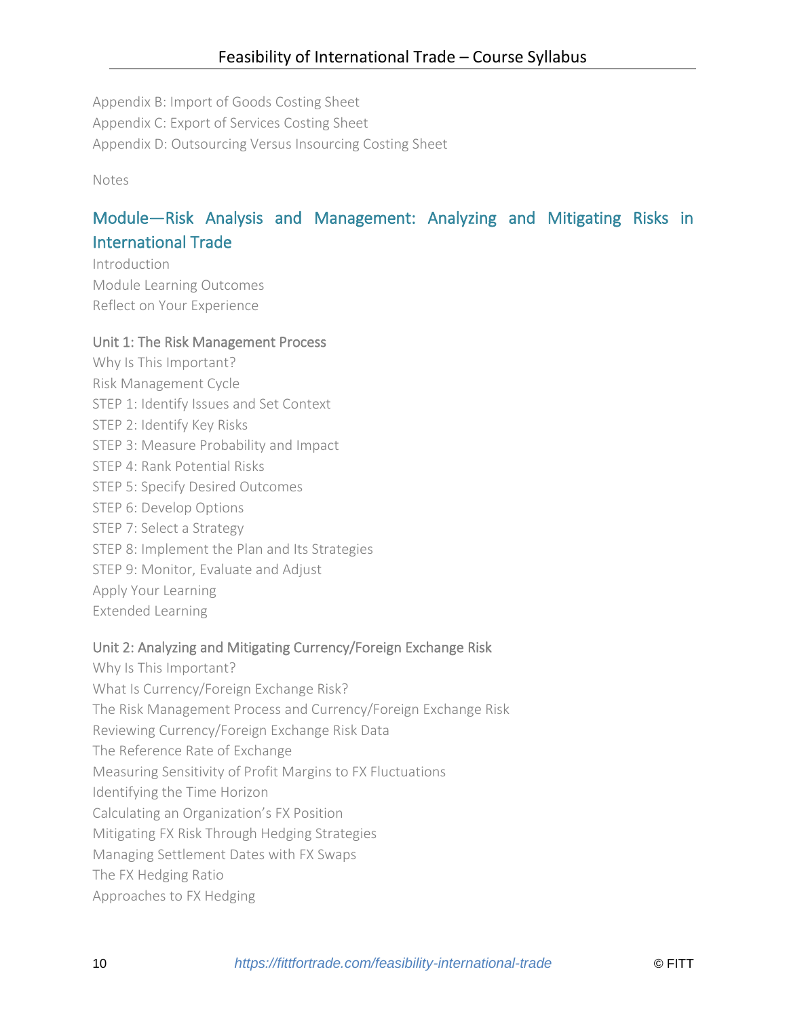Appendix B: Import of Goods Costing Sheet Appendix C: Export of Services Costing Sheet Appendix D: Outsourcing Versus Insourcing Costing Sheet

Notes

# Module—Risk Analysis and Management: Analyzing and Mitigating Risks in International Trade

Introduction Module Learning Outcomes Reflect on Your Experience

#### Unit 1: The Risk Management Process

Why Is This Important? Risk Management Cycle STEP 1: Identify Issues and Set Context STEP 2: Identify Key Risks STEP 3: Measure Probability and Impact STEP 4: Rank Potential Risks STEP 5: Specify Desired Outcomes STEP 6: Develop Options STEP 7: Select a Strategy STEP 8: Implement the Plan and Its Strategies STEP 9: Monitor, Evaluate and Adjust Apply Your Learning Extended Learning

# Unit 2: Analyzing and Mitigating Currency/Foreign Exchange Risk

- Why Is This Important? What Is Currency/Foreign Exchange Risk? The Risk Management Process and Currency/Foreign Exchange Risk Reviewing Currency/Foreign Exchange Risk Data The Reference Rate of Exchange Measuring Sensitivity of Profit Margins to FX Fluctuations Identifying the Time Horizon Calculating an Organization's FX Position Mitigating FX Risk Through Hedging Strategies Managing Settlement Dates with FX Swaps The FX Hedging Ratio
- Approaches to FX Hedging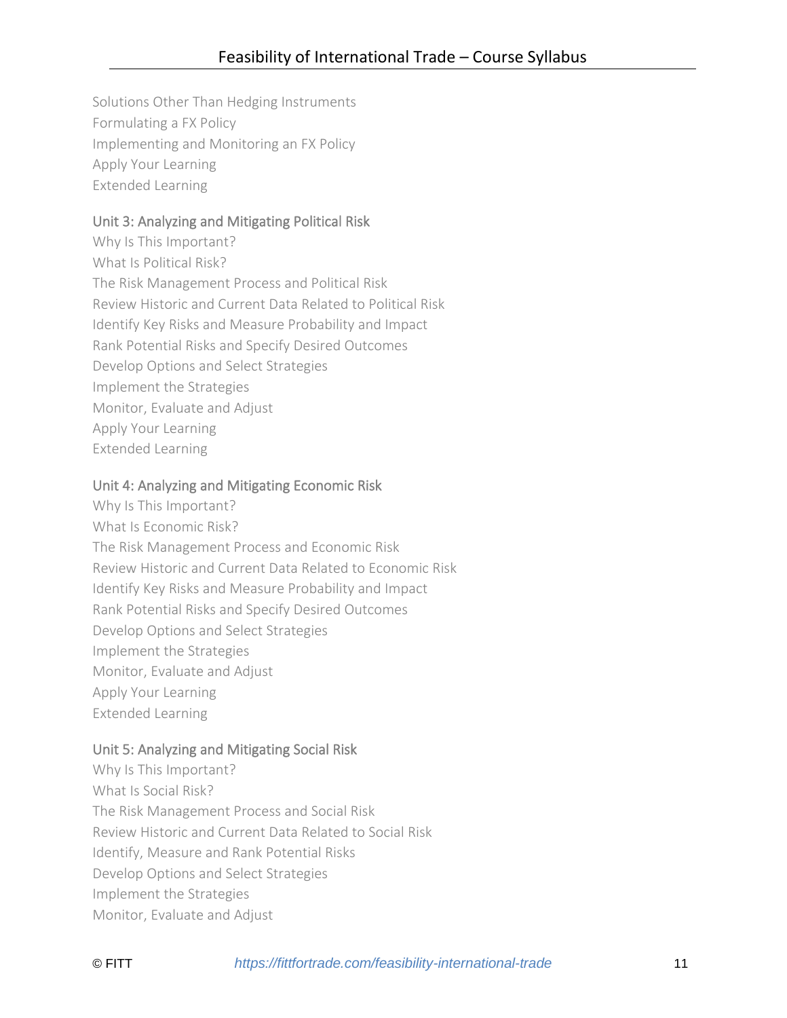Solutions Other Than Hedging Instruments Formulating a FX Policy Implementing and Monitoring an FX Policy Apply Your Learning Extended Learning

# Unit 3: Analyzing and Mitigating Political Risk

Why Is This Important? What Is Political Risk? The Risk Management Process and Political Risk Review Historic and Current Data Related to Political Risk Identify Key Risks and Measure Probability and Impact Rank Potential Risks and Specify Desired Outcomes Develop Options and Select Strategies Implement the Strategies Monitor, Evaluate and Adjust Apply Your Learning Extended Learning

# Unit 4: Analyzing and Mitigating Economic Risk

Why Is This Important? What Is Economic Risk? The Risk Management Process and Economic Risk Review Historic and Current Data Related to Economic Risk Identify Key Risks and Measure Probability and Impact Rank Potential Risks and Specify Desired Outcomes Develop Options and Select Strategies Implement the Strategies Monitor, Evaluate and Adjust Apply Your Learning Extended Learning

# Unit 5: Analyzing and Mitigating Social Risk

Why Is This Important? What Is Social Risk? The Risk Management Process and Social Risk Review Historic and Current Data Related to Social Risk Identify, Measure and Rank Potential Risks Develop Options and Select Strategies Implement the Strategies Monitor, Evaluate and Adjust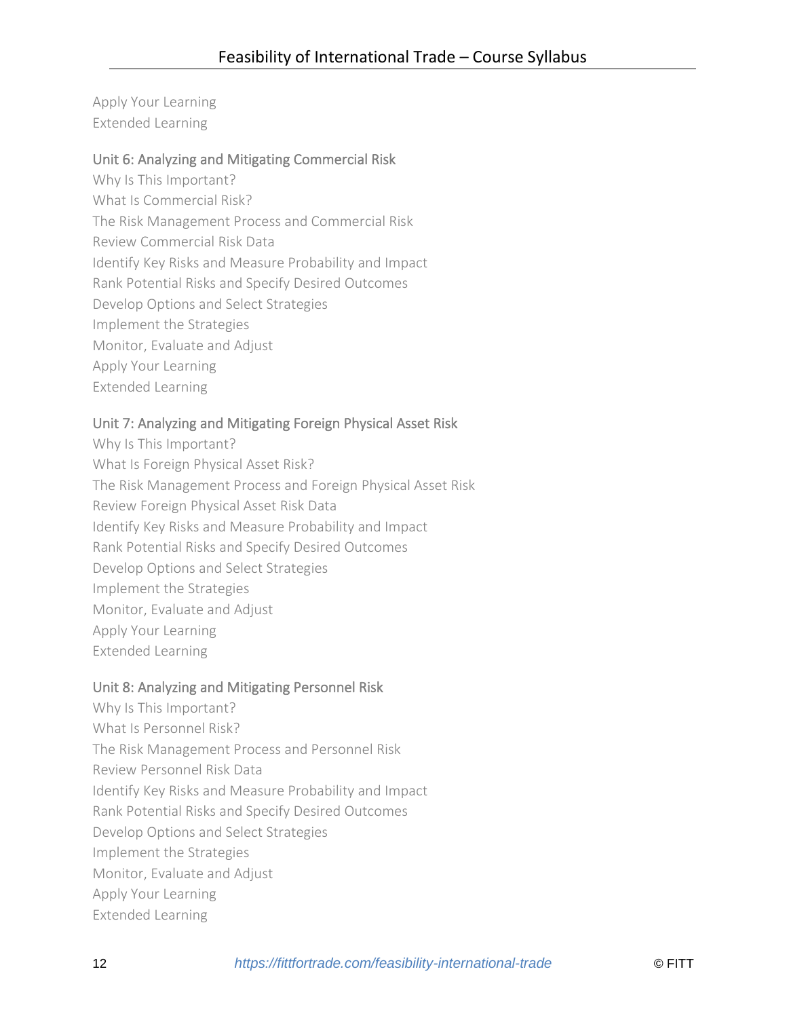Apply Your Learning Extended Learning

# Unit 6: Analyzing and Mitigating Commercial Risk

- Why Is This Important? What Is Commercial Risk?
- The Risk Management Process and Commercial Risk
- Review Commercial Risk Data
- Identify Key Risks and Measure Probability and Impact
- Rank Potential Risks and Specify Desired Outcomes
- Develop Options and Select Strategies
- Implement the Strategies
- Monitor, Evaluate and Adjust
- Apply Your Learning
- Extended Learning

# Unit 7: Analyzing and Mitigating Foreign Physical Asset Risk

Why Is This Important? What Is Foreign Physical Asset Risk? The Risk Management Process and Foreign Physical Asset Risk Review Foreign Physical Asset Risk Data Identify Key Risks and Measure Probability and Impact Rank Potential Risks and Specify Desired Outcomes Develop Options and Select Strategies Implement the Strategies Monitor, Evaluate and Adjust Apply Your Learning Extended Learning

# Unit 8: Analyzing and Mitigating Personnel Risk

Why Is This Important? What Is Personnel Risk? The Risk Management Process and Personnel Risk Review Personnel Risk Data Identify Key Risks and Measure Probability and Impact Rank Potential Risks and Specify Desired Outcomes Develop Options and Select Strategies Implement the Strategies Monitor, Evaluate and Adjust Apply Your Learning Extended Learning